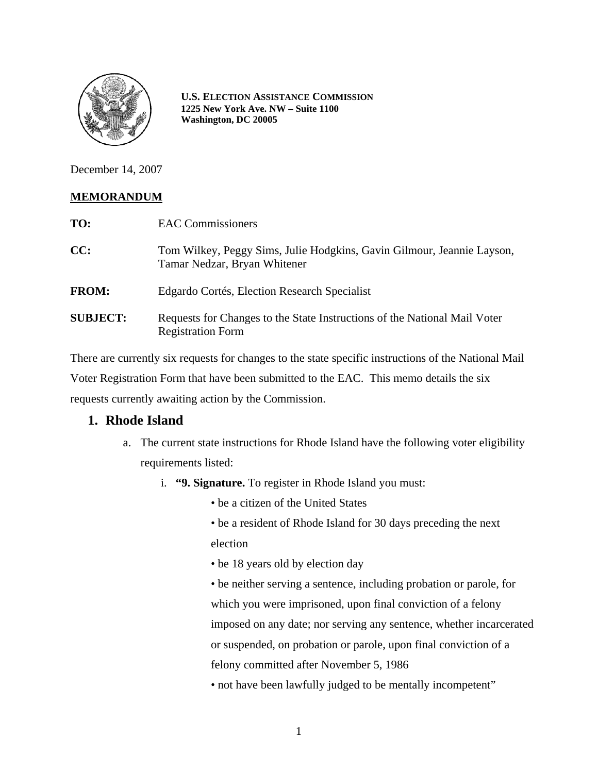

**U.S. ELECTION ASSISTANCE COMMISSION 1225 New York Ave. NW – Suite 1100 Washington, DC 20005**

December 14, 2007

## **MEMORANDUM**

| TO:             | <b>EAC Commissioners</b>                                                                               |
|-----------------|--------------------------------------------------------------------------------------------------------|
| CC:             | Tom Wilkey, Peggy Sims, Julie Hodgkins, Gavin Gilmour, Jeannie Layson,<br>Tamar Nedzar, Bryan Whitener |
| <b>FROM:</b>    | Edgardo Cortés, Election Research Specialist                                                           |
| <b>SUBJECT:</b> | Requests for Changes to the State Instructions of the National Mail Voter<br><b>Registration Form</b>  |

There are currently six requests for changes to the state specific instructions of the National Mail Voter Registration Form that have been submitted to the EAC. This memo details the six requests currently awaiting action by the Commission.

# **1. Rhode Island**

- a. The current state instructions for Rhode Island have the following voter eligibility requirements listed:
	- i. **"9. Signature.** To register in Rhode Island you must:
		- be a citizen of the United States
		- be a resident of Rhode Island for 30 days preceding the next election
		- be 18 years old by election day
		- be neither serving a sentence, including probation or parole, for which you were imprisoned, upon final conviction of a felony imposed on any date; nor serving any sentence, whether incarcerated or suspended, on probation or parole, upon final conviction of a felony committed after November 5, 1986
		- not have been lawfully judged to be mentally incompetent"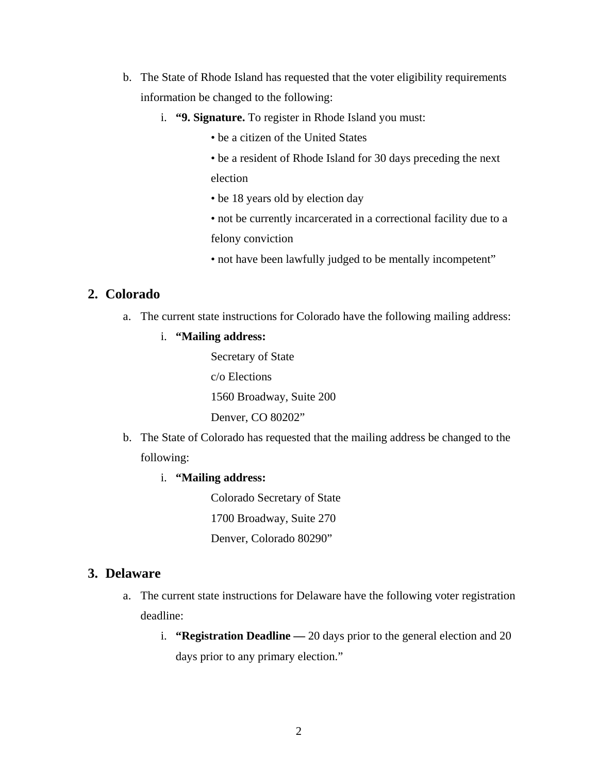- b. The State of Rhode Island has requested that the voter eligibility requirements information be changed to the following:
	- i. **"9. Signature.** To register in Rhode Island you must:
		- be a citizen of the United States
		- be a resident of Rhode Island for 30 days preceding the next election
		- be 18 years old by election day
		- not be currently incarcerated in a correctional facility due to a felony conviction
		- not have been lawfully judged to be mentally incompetent"

## **2. Colorado**

a. The current state instructions for Colorado have the following mailing address:

#### i. **"Mailing address:**

Secretary of State c/o Elections 1560 Broadway, Suite 200 Denver, CO 80202"

- b. The State of Colorado has requested that the mailing address be changed to the following:
	- i. **"Mailing address:**

Colorado Secretary of State 1700 Broadway, Suite 270 Denver, Colorado 80290"

### **3. Delaware**

- a. The current state instructions for Delaware have the following voter registration deadline:
	- i. **"Registration Deadline —** 20 days prior to the general election and 20 days prior to any primary election."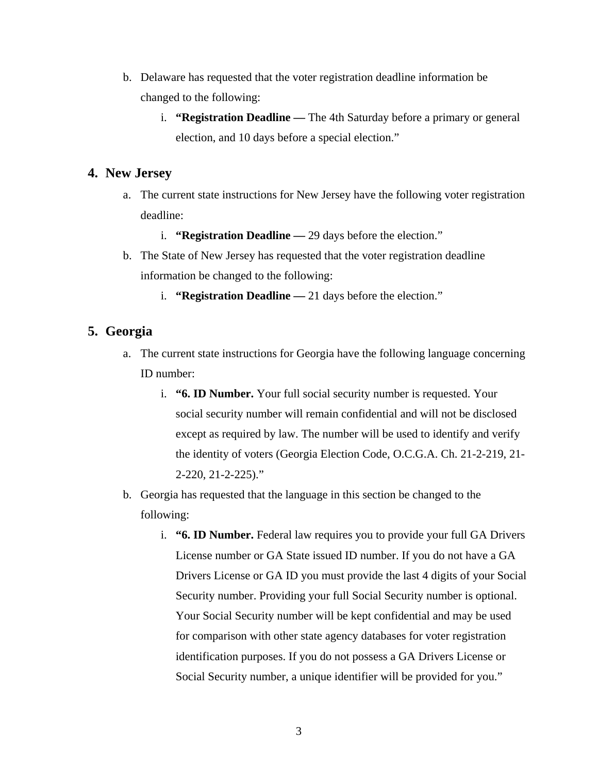- b. Delaware has requested that the voter registration deadline information be changed to the following:
	- i. **"Registration Deadline —** The 4th Saturday before a primary or general election, and 10 days before a special election."

### **4. New Jersey**

- a. The current state instructions for New Jersey have the following voter registration deadline:
	- i. **"Registration Deadline —** 29 days before the election."
- b. The State of New Jersey has requested that the voter registration deadline information be changed to the following:
	- i. **"Registration Deadline —** 21 days before the election."

## **5. Georgia**

- a. The current state instructions for Georgia have the following language concerning ID number:
	- i. **"6. ID Number.** Your full social security number is requested. Your social security number will remain confidential and will not be disclosed except as required by law. The number will be used to identify and verify the identity of voters (Georgia Election Code, O.C.G.A. Ch. 21-2-219, 21- 2-220, 21-2-225)."
- b. Georgia has requested that the language in this section be changed to the following:
	- i. **"6. ID Number.** Federal law requires you to provide your full GA Drivers License number or GA State issued ID number. If you do not have a GA Drivers License or GA ID you must provide the last 4 digits of your Social Security number. Providing your full Social Security number is optional. Your Social Security number will be kept confidential and may be used for comparison with other state agency databases for voter registration identification purposes. If you do not possess a GA Drivers License or Social Security number, a unique identifier will be provided for you."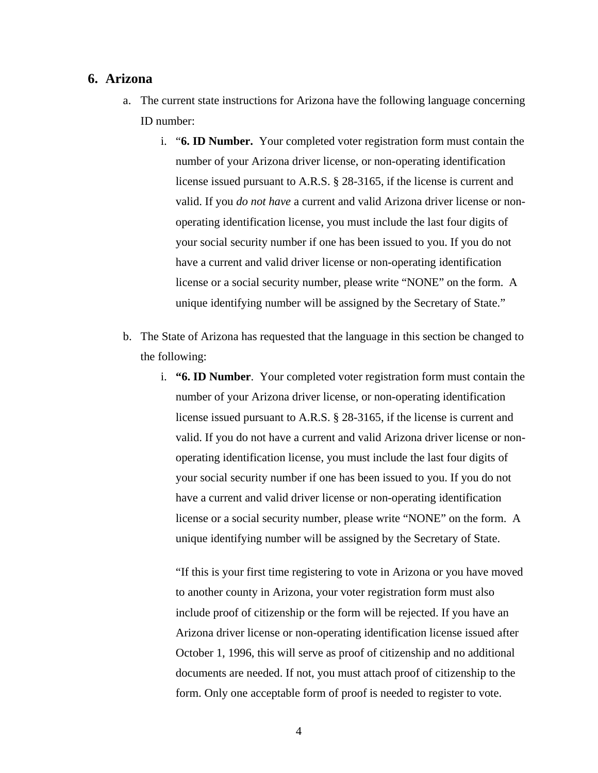#### **6. Arizona**

- a. The current state instructions for Arizona have the following language concerning ID number:
	- i. "**6. ID Number.** Your completed voter registration form must contain the number of your Arizona driver license, or non-operating identification license issued pursuant to A.R.S. § 28-3165, if the license is current and valid. If you *do not have* a current and valid Arizona driver license or nonoperating identification license, you must include the last four digits of your social security number if one has been issued to you. If you do not have a current and valid driver license or non-operating identification license or a social security number, please write "NONE" on the form. A unique identifying number will be assigned by the Secretary of State."
- b. The State of Arizona has requested that the language in this section be changed to the following:
	- i. **"6. ID Number**. Your completed voter registration form must contain the number of your Arizona driver license, or non-operating identification license issued pursuant to A.R.S. § 28-3165, if the license is current and valid. If you do not have a current and valid Arizona driver license or nonoperating identification license, you must include the last four digits of your social security number if one has been issued to you. If you do not have a current and valid driver license or non-operating identification license or a social security number, please write "NONE" on the form. A unique identifying number will be assigned by the Secretary of State.

"If this is your first time registering to vote in Arizona or you have moved to another county in Arizona, your voter registration form must also include proof of citizenship or the form will be rejected. If you have an Arizona driver license or non-operating identification license issued after October 1, 1996, this will serve as proof of citizenship and no additional documents are needed. If not, you must attach proof of citizenship to the form. Only one acceptable form of proof is needed to register to vote.

4